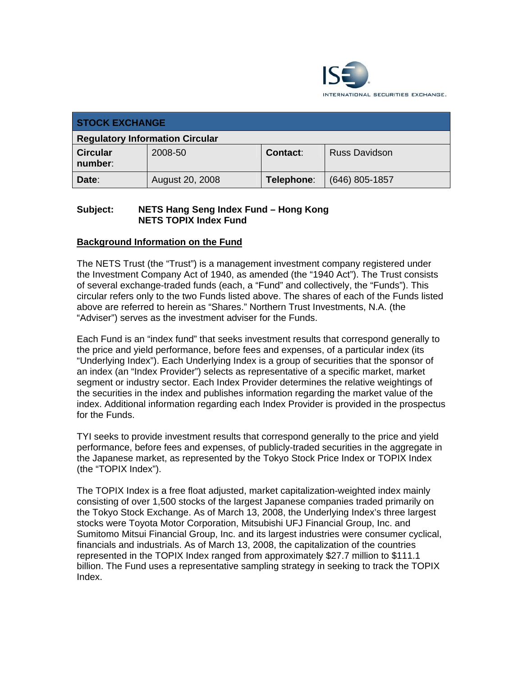

| <b>STOCK EXCHANGE</b>                  |                 |                 |                      |  |
|----------------------------------------|-----------------|-----------------|----------------------|--|
| <b>Regulatory Information Circular</b> |                 |                 |                      |  |
| <b>Circular</b><br>number:             | 2008-50         | <b>Contact:</b> | <b>Russ Davidson</b> |  |
| Date:                                  | August 20, 2008 | Telephone:      | $(646)$ 805-1857     |  |

## **Subject: NETS Hang Seng Index Fund – Hong Kong NETS TOPIX Index Fund**

# **Background Information on the Fund**

The NETS Trust (the "Trust") is a management investment company registered under the Investment Company Act of 1940, as amended (the "1940 Act"). The Trust consists of several exchange-traded funds (each, a "Fund" and collectively, the "Funds"). This circular refers only to the two Funds listed above. The shares of each of the Funds listed above are referred to herein as "Shares." Northern Trust Investments, N.A. (the "Adviser") serves as the investment adviser for the Funds.

Each Fund is an "index fund" that seeks investment results that correspond generally to the price and yield performance, before fees and expenses, of a particular index (its "Underlying Index"). Each Underlying Index is a group of securities that the sponsor of an index (an "Index Provider") selects as representative of a specific market, market segment or industry sector. Each Index Provider determines the relative weightings of the securities in the index and publishes information regarding the market value of the index. Additional information regarding each Index Provider is provided in the prospectus for the Funds.

TYI seeks to provide investment results that correspond generally to the price and yield performance, before fees and expenses, of publicly-traded securities in the aggregate in the Japanese market, as represented by the Tokyo Stock Price Index or TOPIX Index (the "TOPIX Index").

The TOPIX Index is a free float adjusted, market capitalization-weighted index mainly consisting of over 1,500 stocks of the largest Japanese companies traded primarily on the Tokyo Stock Exchange. As of March 13, 2008, the Underlying Index's three largest stocks were Toyota Motor Corporation, Mitsubishi UFJ Financial Group, Inc. and Sumitomo Mitsui Financial Group, Inc. and its largest industries were consumer cyclical, financials and industrials. As of March 13, 2008, the capitalization of the countries represented in the TOPIX Index ranged from approximately \$27.7 million to \$111.1 billion. The Fund uses a representative sampling strategy in seeking to track the TOPIX Index.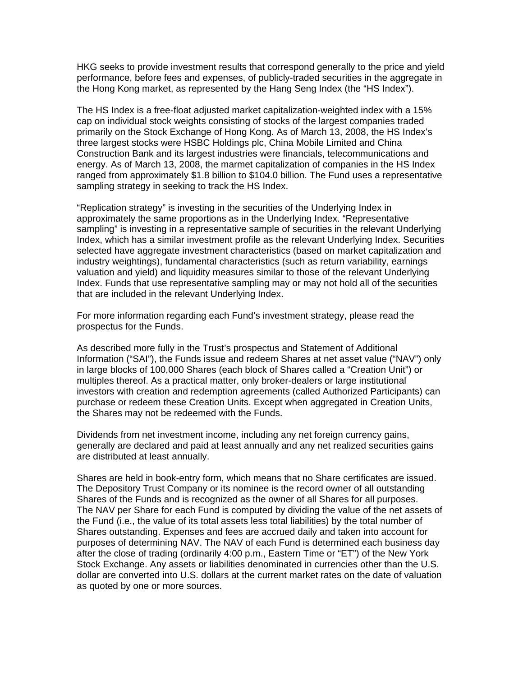HKG seeks to provide investment results that correspond generally to the price and yield performance, before fees and expenses, of publicly-traded securities in the aggregate in the Hong Kong market, as represented by the Hang Seng Index (the "HS Index").

The HS Index is a free-float adjusted market capitalization-weighted index with a 15% cap on individual stock weights consisting of stocks of the largest companies traded primarily on the Stock Exchange of Hong Kong. As of March 13, 2008, the HS Index's three largest stocks were HSBC Holdings plc, China Mobile Limited and China Construction Bank and its largest industries were financials, telecommunications and energy. As of March 13, 2008, the marmet capitalization of companies in the HS Index ranged from approximately \$1.8 billion to \$104.0 billion. The Fund uses a representative sampling strategy in seeking to track the HS Index.

"Replication strategy" is investing in the securities of the Underlying Index in approximately the same proportions as in the Underlying Index. "Representative sampling" is investing in a representative sample of securities in the relevant Underlying Index, which has a similar investment profile as the relevant Underlying Index. Securities selected have aggregate investment characteristics (based on market capitalization and industry weightings), fundamental characteristics (such as return variability, earnings valuation and yield) and liquidity measures similar to those of the relevant Underlying Index. Funds that use representative sampling may or may not hold all of the securities that are included in the relevant Underlying Index.

For more information regarding each Fund's investment strategy, please read the prospectus for the Funds.

As described more fully in the Trust's prospectus and Statement of Additional Information ("SAI"), the Funds issue and redeem Shares at net asset value ("NAV") only in large blocks of 100,000 Shares (each block of Shares called a "Creation Unit") or multiples thereof. As a practical matter, only broker-dealers or large institutional investors with creation and redemption agreements (called Authorized Participants) can purchase or redeem these Creation Units. Except when aggregated in Creation Units, the Shares may not be redeemed with the Funds.

Dividends from net investment income, including any net foreign currency gains, generally are declared and paid at least annually and any net realized securities gains are distributed at least annually.

Shares are held in book-entry form, which means that no Share certificates are issued. The Depository Trust Company or its nominee is the record owner of all outstanding Shares of the Funds and is recognized as the owner of all Shares for all purposes. The NAV per Share for each Fund is computed by dividing the value of the net assets of the Fund (i.e., the value of its total assets less total liabilities) by the total number of Shares outstanding. Expenses and fees are accrued daily and taken into account for purposes of determining NAV. The NAV of each Fund is determined each business day after the close of trading (ordinarily 4:00 p.m., Eastern Time or "ET") of the New York Stock Exchange. Any assets or liabilities denominated in currencies other than the U.S. dollar are converted into U.S. dollars at the current market rates on the date of valuation as quoted by one or more sources.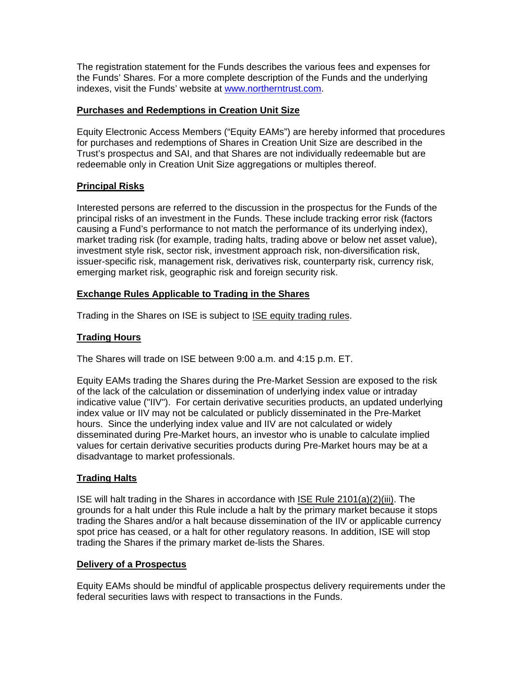The registration statement for the Funds describes the various fees and expenses for the Funds' Shares. For a more complete description of the Funds and the underlying indexes, visit the Funds' website at www.northerntrust.com.

# **Purchases and Redemptions in Creation Unit Size**

Equity Electronic Access Members ("Equity EAMs") are hereby informed that procedures for purchases and redemptions of Shares in Creation Unit Size are described in the Trust's prospectus and SAI, and that Shares are not individually redeemable but are redeemable only in Creation Unit Size aggregations or multiples thereof.

# **Principal Risks**

Interested persons are referred to the discussion in the prospectus for the Funds of the principal risks of an investment in the Funds. These include tracking error risk (factors causing a Fund's performance to not match the performance of its underlying index), market trading risk (for example, trading halts, trading above or below net asset value), investment style risk, sector risk, investment approach risk, non-diversification risk, issuer-specific risk, management risk, derivatives risk, counterparty risk, currency risk, emerging market risk, geographic risk and foreign security risk.

# **Exchange Rules Applicable to Trading in the Shares**

Trading in the Shares on ISE is subject to ISE equity trading rules.

# **Trading Hours**

The Shares will trade on ISE between 9:00 a.m. and 4:15 p.m. ET.

Equity EAMs trading the Shares during the Pre-Market Session are exposed to the risk of the lack of the calculation or dissemination of underlying index value or intraday indicative value ("IIV"). For certain derivative securities products, an updated underlying index value or IIV may not be calculated or publicly disseminated in the Pre-Market hours. Since the underlying index value and IIV are not calculated or widely disseminated during Pre-Market hours, an investor who is unable to calculate implied values for certain derivative securities products during Pre-Market hours may be at a disadvantage to market professionals.

### **Trading Halts**

ISE will halt trading in the Shares in accordance with ISE Rule 2101(a)(2)(iii). The grounds for a halt under this Rule include a halt by the primary market because it stops trading the Shares and/or a halt because dissemination of the IIV or applicable currency spot price has ceased, or a halt for other regulatory reasons. In addition, ISE will stop trading the Shares if the primary market de-lists the Shares.

### **Delivery of a Prospectus**

Equity EAMs should be mindful of applicable prospectus delivery requirements under the federal securities laws with respect to transactions in the Funds.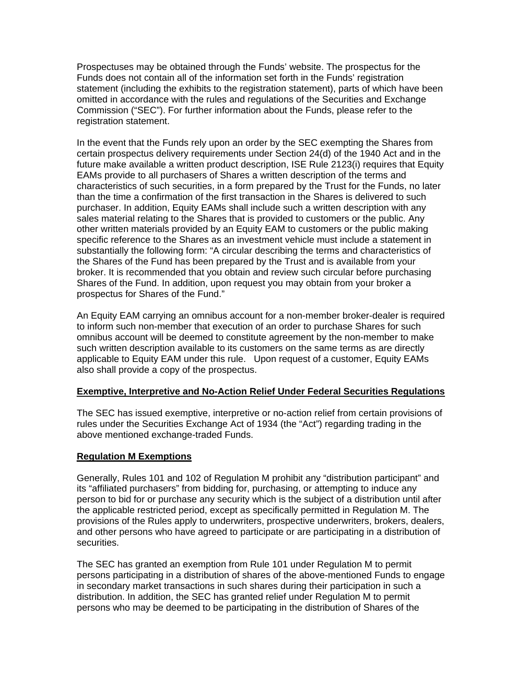Prospectuses may be obtained through the Funds' website. The prospectus for the Funds does not contain all of the information set forth in the Funds' registration statement (including the exhibits to the registration statement), parts of which have been omitted in accordance with the rules and regulations of the Securities and Exchange Commission ("SEC"). For further information about the Funds, please refer to the registration statement.

In the event that the Funds rely upon an order by the SEC exempting the Shares from certain prospectus delivery requirements under Section 24(d) of the 1940 Act and in the future make available a written product description, ISE Rule 2123(i) requires that Equity EAMs provide to all purchasers of Shares a written description of the terms and characteristics of such securities, in a form prepared by the Trust for the Funds, no later than the time a confirmation of the first transaction in the Shares is delivered to such purchaser. In addition, Equity EAMs shall include such a written description with any sales material relating to the Shares that is provided to customers or the public. Any other written materials provided by an Equity EAM to customers or the public making specific reference to the Shares as an investment vehicle must include a statement in substantially the following form: "A circular describing the terms and characteristics of the Shares of the Fund has been prepared by the Trust and is available from your broker. It is recommended that you obtain and review such circular before purchasing Shares of the Fund. In addition, upon request you may obtain from your broker a prospectus for Shares of the Fund."

An Equity EAM carrying an omnibus account for a non-member broker-dealer is required to inform such non-member that execution of an order to purchase Shares for such omnibus account will be deemed to constitute agreement by the non-member to make such written description available to its customers on the same terms as are directly applicable to Equity EAM under this rule. Upon request of a customer, Equity EAMs also shall provide a copy of the prospectus.

### **Exemptive, Interpretive and No-Action Relief Under Federal Securities Regulations**

The SEC has issued exemptive, interpretive or no-action relief from certain provisions of rules under the Securities Exchange Act of 1934 (the "Act") regarding trading in the above mentioned exchange-traded Funds.

#### **Regulation M Exemptions**

Generally, Rules 101 and 102 of Regulation M prohibit any "distribution participant" and its "affiliated purchasers" from bidding for, purchasing, or attempting to induce any person to bid for or purchase any security which is the subject of a distribution until after the applicable restricted period, except as specifically permitted in Regulation M. The provisions of the Rules apply to underwriters, prospective underwriters, brokers, dealers, and other persons who have agreed to participate or are participating in a distribution of securities.

The SEC has granted an exemption from Rule 101 under Regulation M to permit persons participating in a distribution of shares of the above-mentioned Funds to engage in secondary market transactions in such shares during their participation in such a distribution. In addition, the SEC has granted relief under Regulation M to permit persons who may be deemed to be participating in the distribution of Shares of the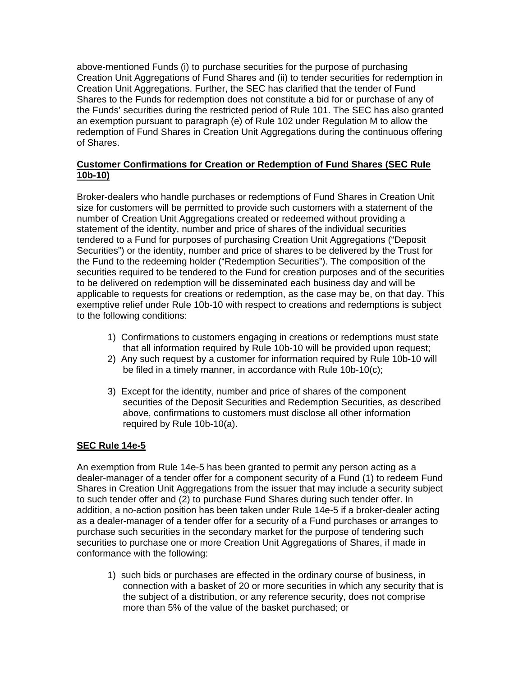above-mentioned Funds (i) to purchase securities for the purpose of purchasing Creation Unit Aggregations of Fund Shares and (ii) to tender securities for redemption in Creation Unit Aggregations. Further, the SEC has clarified that the tender of Fund Shares to the Funds for redemption does not constitute a bid for or purchase of any of the Funds' securities during the restricted period of Rule 101. The SEC has also granted an exemption pursuant to paragraph (e) of Rule 102 under Regulation M to allow the redemption of Fund Shares in Creation Unit Aggregations during the continuous offering of Shares.

# **Customer Confirmations for Creation or Redemption of Fund Shares (SEC Rule 10b-10)**

Broker-dealers who handle purchases or redemptions of Fund Shares in Creation Unit size for customers will be permitted to provide such customers with a statement of the number of Creation Unit Aggregations created or redeemed without providing a statement of the identity, number and price of shares of the individual securities tendered to a Fund for purposes of purchasing Creation Unit Aggregations ("Deposit Securities") or the identity, number and price of shares to be delivered by the Trust for the Fund to the redeeming holder ("Redemption Securities"). The composition of the securities required to be tendered to the Fund for creation purposes and of the securities to be delivered on redemption will be disseminated each business day and will be applicable to requests for creations or redemption, as the case may be, on that day. This exemptive relief under Rule 10b-10 with respect to creations and redemptions is subject to the following conditions:

- 1) Confirmations to customers engaging in creations or redemptions must state that all information required by Rule 10b-10 will be provided upon request;
- 2) Any such request by a customer for information required by Rule 10b-10 will be filed in a timely manner, in accordance with Rule 10b-10(c);
- 3) Except for the identity, number and price of shares of the component securities of the Deposit Securities and Redemption Securities, as described above, confirmations to customers must disclose all other information required by Rule 10b-10(a).

### **SEC Rule 14e-5**

An exemption from Rule 14e-5 has been granted to permit any person acting as a dealer-manager of a tender offer for a component security of a Fund (1) to redeem Fund Shares in Creation Unit Aggregations from the issuer that may include a security subject to such tender offer and (2) to purchase Fund Shares during such tender offer. In addition, a no-action position has been taken under Rule 14e-5 if a broker-dealer acting as a dealer-manager of a tender offer for a security of a Fund purchases or arranges to purchase such securities in the secondary market for the purpose of tendering such securities to purchase one or more Creation Unit Aggregations of Shares, if made in conformance with the following:

1) such bids or purchases are effected in the ordinary course of business, in connection with a basket of 20 or more securities in which any security that is the subject of a distribution, or any reference security, does not comprise more than 5% of the value of the basket purchased; or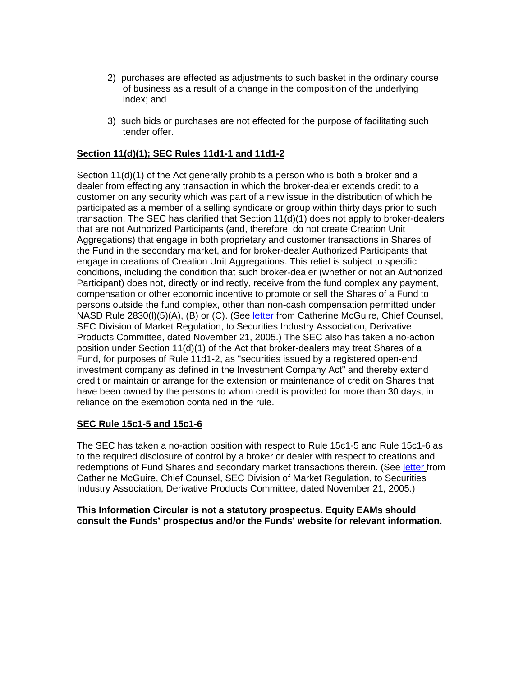- 2) purchases are effected as adjustments to such basket in the ordinary course of business as a result of a change in the composition of the underlying index; and
- 3) such bids or purchases are not effected for the purpose of facilitating such tender offer.

### **Section 11(d)(1); SEC Rules 11d1-1 and 11d1-2**

Section 11(d)(1) of the Act generally prohibits a person who is both a broker and a dealer from effecting any transaction in which the broker-dealer extends credit to a customer on any security which was part of a new issue in the distribution of which he participated as a member of a selling syndicate or group within thirty days prior to such transaction. The SEC has clarified that Section 11(d)(1) does not apply to broker-dealers that are not Authorized Participants (and, therefore, do not create Creation Unit Aggregations) that engage in both proprietary and customer transactions in Shares of the Fund in the secondary market, and for broker-dealer Authorized Participants that engage in creations of Creation Unit Aggregations. This relief is subject to specific conditions, including the condition that such broker-dealer (whether or not an Authorized Participant) does not, directly or indirectly, receive from the fund complex any payment, compensation or other economic incentive to promote or sell the Shares of a Fund to persons outside the fund complex, other than non-cash compensation permitted under NASD Rule 2830(I)(5)(A), (B) or (C). (See letter from Catherine McGuire, Chief Counsel, SEC Division of Market Regulation, to Securities Industry Association, Derivative Products Committee, dated November 21, 2005.) The SEC also has taken a no-action position under Section 11(d)(1) of the Act that broker-dealers may treat Shares of a Fund, for purposes of Rule 11d1-2, as "securities issued by a registered open-end investment company as defined in the Investment Company Act" and thereby extend credit or maintain or arrange for the extension or maintenance of credit on Shares that have been owned by the persons to whom credit is provided for more than 30 days, in reliance on the exemption contained in the rule.

### **SEC Rule 15c1-5 and 15c1-6**

The SEC has taken a no-action position with respect to Rule 15c1-5 and Rule 15c1-6 as to the required disclosure of control by a broker or dealer with respect to creations and redemptions of Fund Shares and secondary market transactions therein. (See letter from Catherine McGuire, Chief Counsel, SEC Division of Market Regulation, to Securities Industry Association, Derivative Products Committee, dated November 21, 2005.)

#### **This Information Circular is not a statutory prospectus. Equity EAMs should consult the Funds' prospectus and/or the Funds' website** f**or relevant information.**